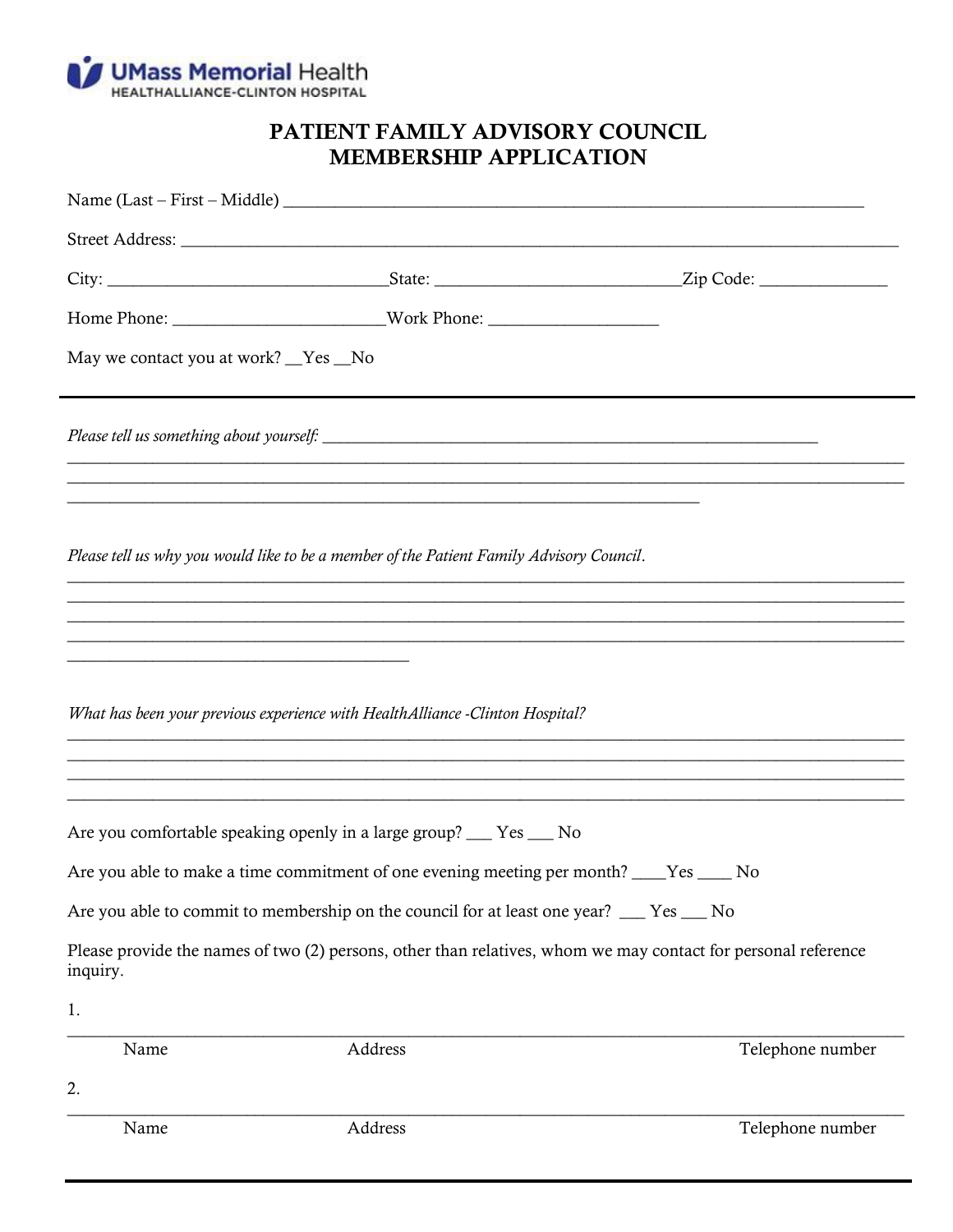

## PATIENT FAMILY ADVISORY COUNCIL **MEMBERSHIP APPLICATION**

| May we contact you at work? _Yes _No                                                                                  |                                                                                                                                                                 |                                                                                                                                                                                                                                                            |
|-----------------------------------------------------------------------------------------------------------------------|-----------------------------------------------------------------------------------------------------------------------------------------------------------------|------------------------------------------------------------------------------------------------------------------------------------------------------------------------------------------------------------------------------------------------------------|
|                                                                                                                       |                                                                                                                                                                 |                                                                                                                                                                                                                                                            |
|                                                                                                                       | <u> 1989 - Johann John Stone, Amerikaansk politiker (* 1989)</u><br>Please tell us why you would like to be a member of the Patient Family Advisory Council.    |                                                                                                                                                                                                                                                            |
| <u> 1989 - Johann John Stone, market fan de Fryske kun fan de fan de fan de fan de fan de fan de fan de fan de fa</u> | What has been your previous experience with Health Alliance - Clinton Hospital?                                                                                 | ,我们也不能在这里的人,我们也不能在这里的人,我们也不能在这里的人,我们也不能在这里的人,我们也不能在这里的人,我们也不能在这里的人,我们也不能在这里的人,我们也<br>,我们也不能会在这里,我们也不能会在这里,我们也不能会在这里,我们也不能会在这里,我们也不能会在这里,我们也不能会在这里,我们也不能会不能会不能会。""我们,我们<br>,一个人都是一个人的人,我们就是一个人的人,我们就是一个人的人,我们就是一个人的人,我们就是一个人的人,我们就是一个人的人,我们就是一个人的人,我们就是一个人的 |
|                                                                                                                       | Are you comfortable speaking openly in a large group? __ Yes __ No<br>Are you able to make a time commitment of one evening meeting per month? ____Yes _____ No |                                                                                                                                                                                                                                                            |
|                                                                                                                       | Are you able to commit to membership on the council for at least one year? __ Yes __ No                                                                         |                                                                                                                                                                                                                                                            |
| inquiry.                                                                                                              |                                                                                                                                                                 | Please provide the names of two (2) persons, other than relatives, whom we may contact for personal reference                                                                                                                                              |
| 1.                                                                                                                    |                                                                                                                                                                 |                                                                                                                                                                                                                                                            |
| Name                                                                                                                  | Address                                                                                                                                                         | Telephone number                                                                                                                                                                                                                                           |
| 2.                                                                                                                    |                                                                                                                                                                 |                                                                                                                                                                                                                                                            |
| Name                                                                                                                  | Address                                                                                                                                                         | Telephone number                                                                                                                                                                                                                                           |